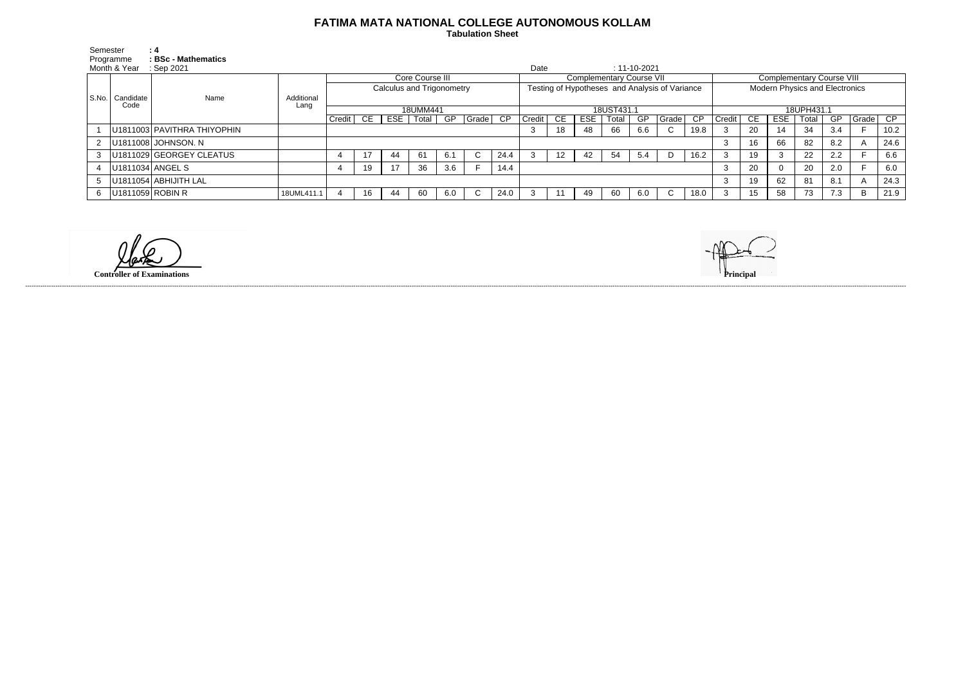## **FATIMA MATA NATIONAL COLLEGE AUTONOMOUS KOLLAM**

 **Tabulation Sheet** 

| Semester     |                   | : 4                         |                    |                           |    |     |       |     |              |                 |                                                |                 |            |       |                    |             |      |                                       |     |            |       |     |               |      |
|--------------|-------------------|-----------------------------|--------------------|---------------------------|----|-----|-------|-----|--------------|-----------------|------------------------------------------------|-----------------|------------|-------|--------------------|-------------|------|---------------------------------------|-----|------------|-------|-----|---------------|------|
| Programme    |                   | <b>BSc - Mathematics</b>    |                    |                           |    |     |       |     |              |                 |                                                |                 |            |       |                    |             |      |                                       |     |            |       |     |               |      |
| Month & Year |                   | Sep 2021                    |                    |                           |    |     |       |     |              |                 | Date                                           |                 |            |       | $: 11 - 10 - 2021$ |             |      |                                       |     |            |       |     |               |      |
| S.No.        | Candidate<br>Code | Name                        | Additional<br>Lang | Core Course III           |    |     |       |     |              |                 | <b>Complementary Course VII</b>                |                 |            |       |                    |             |      | <b>Complementary Course VIII</b>      |     |            |       |     |               |      |
|              |                   |                             |                    | Calculus and Trigonometry |    |     |       |     |              |                 | Testing of Hypotheses and Analysis of Variance |                 |            |       |                    |             |      | <b>Modern Physics and Electronics</b> |     |            |       |     |               |      |
|              |                   |                             |                    |                           |    |     |       |     |              |                 |                                                |                 |            |       |                    |             |      |                                       |     |            |       |     |               |      |
|              |                   |                             |                    | 18UMM441                  |    |     |       |     |              |                 | $18\overline{\text{UST431}}$                   |                 |            |       |                    |             |      | 18UPH431.1                            |     |            |       |     |               |      |
|              |                   |                             |                    | $Credit$ $C \tE$          |    | ESE | Total | GP  | Grade        | $\overline{CP}$ | Credit                                         | CE              | <b>ESE</b> | Total | <b>GP</b>          | l Grade I   | CP   | Credit                                | CE. | <b>ESE</b> | Total | GP  | $ $ Grade $ $ | CP   |
|              |                   | U1811003 PAVITHRA THIYOPHIN |                    |                           |    |     |       |     |              |                 |                                                | 18              | 48         | 66    | 6.6                | $\sim$<br>U | 19.8 |                                       | 20  | 14         | 34    | 3.4 |               | 10.2 |
|              |                   | U1811008 JOHNSON. N         |                    |                           |    |     |       |     |              |                 |                                                |                 |            |       |                    |             |      |                                       | 16  | 66         | 82    | 8.2 |               | 24.6 |
| 3            |                   | U1811029 GEORGEY CLEATUS    |                    |                           | 17 | 44  | 61    | 6.1 | C.           | 24.4            |                                                | 12 <sup>°</sup> | 42         | 54    | 5.4                | D           | 16.2 | 3                                     | 19  | 3          | 22    | 2.2 |               | 6.6  |
|              | U1811034 ANGEL S  |                             |                    |                           | 19 | 17  | 36    | 3.6 |              | 14.4            |                                                |                 |            |       |                    |             |      |                                       | 20  |            | 20    | 2.0 |               | 6.0  |
| 5            |                   | U1811054 ABHIJITH LAL       |                    |                           |    |     |       |     |              |                 |                                                |                 |            |       |                    |             |      |                                       | 19  | 62         | 81    | 8.1 |               | 24.3 |
| 6            | U1811059 ROBIN R  |                             | 18UML411.1         |                           | 16 | 44  | 60    | 6.0 | $\mathbf{C}$ | 24.0            |                                                |                 | 49         | 60    | 6.0                | ◡           | 18.0 |                                       | 15  | 58         | 73    | 7.3 | B             | 21.9 |

**Controller of Examinations Principal**

------------------------------------------------------------------------------------------------------------------------------------------------------------------------------------------------------------------------------------------------------------------------------------------------------------------------------------------------------------------------------------------------------------------------